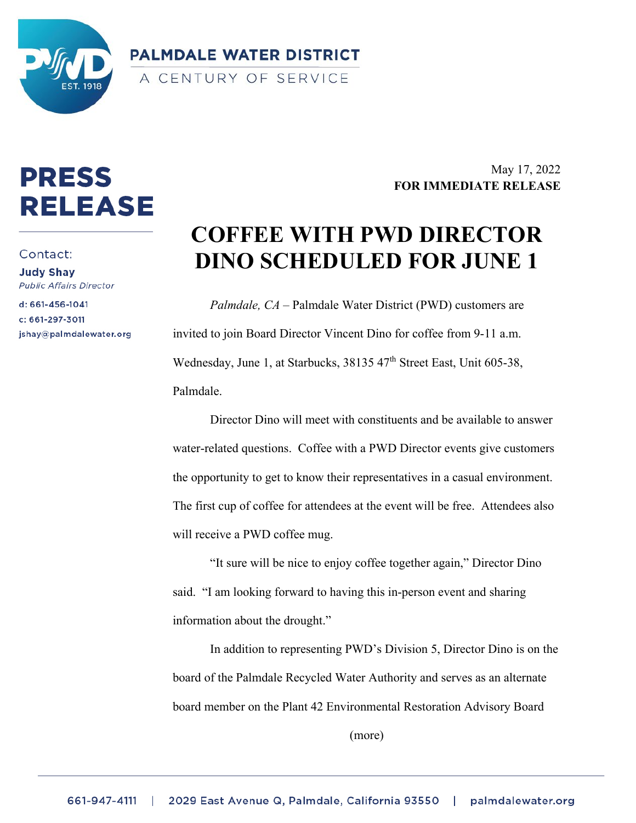

**PALMDALE WATER DISTRICT** A CENTURY OF SERVICE

## **PRESS RELEASE**

Contact:

**Judy Shay Public Affairs Director** 

d: 661-456-1041 c: 661-297-3011 jshay@palmdalewater.org

May 17, 2022 **FOR IMMEDIATE RELEASE**

## **COFFEE WITH PWD DIRECTOR DINO SCHEDULED FOR JUNE 1**

*Palmdale, CA* – Palmdale Water District (PWD) customers are invited to join Board Director Vincent Dino for coffee from 9-11 a.m. Wednesday, June 1, at Starbucks, 38135 47<sup>th</sup> Street East, Unit 605-38, Palmdale.

Director Dino will meet with constituents and be available to answer water-related questions. Coffee with a PWD Director events give customers the opportunity to get to know their representatives in a casual environment. The first cup of coffee for attendees at the event will be free. Attendees also will receive a PWD coffee mug.

"It sure will be nice to enjoy coffee together again," Director Dino said. "I am looking forward to having this in-person event and sharing information about the drought."

In addition to representing PWD's Division 5, Director Dino is on the board of the Palmdale Recycled Water Authority and serves as an alternate board member on the Plant 42 Environmental Restoration Advisory Board

(more)